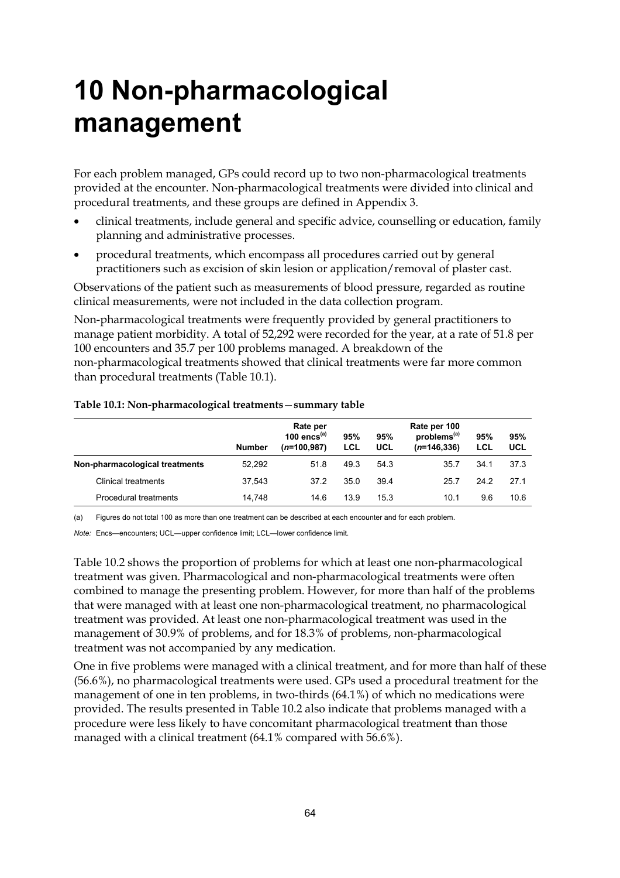# **10 Non-pharmacological management**

For each problem managed, GPs could record up to two non-pharmacological treatments provided at the encounter. Non-pharmacological treatments were divided into clinical and procedural treatments, and these groups are defined in Appendix 3.

- clinical treatments, include general and specific advice, counselling or education, family planning and administrative processes.
- procedural treatments, which encompass all procedures carried out by general practitioners such as excision of skin lesion or application/removal of plaster cast.

Observations of the patient such as measurements of blood pressure, regarded as routine clinical measurements, were not included in the data collection program.

Non-pharmacological treatments were frequently provided by general practitioners to manage patient morbidity. A total of 52,292 were recorded for the year, at a rate of 51.8 per 100 encounters and 35.7 per 100 problems managed. A breakdown of the non-pharmacological treatments showed that clinical treatments were far more common than procedural treatments (Table 10.1).

|                                | <b>Number</b> | Rate per<br>100 encs $(a)$<br>$(n=100.987)$ | 95%<br>LCL | 95%<br>UCL | Rate per 100<br>problems <sup>(a)</sup><br>$(n=146.336)$ | 95%<br>LCL | 95%<br>UCL |
|--------------------------------|---------------|---------------------------------------------|------------|------------|----------------------------------------------------------|------------|------------|
| Non-pharmacological treatments | 52.292        | 51.8                                        | 49.3       | 54.3       | 35.7                                                     | 34.1       | 37.3       |
| <b>Clinical treatments</b>     | 37.543        | 37.2                                        | 35.0       | 39.4       | 25.7                                                     | 24.2       | 27.1       |
| <b>Procedural treatments</b>   | 14.748        | 14.6                                        | 13.9       | 15.3       | 10.1                                                     | 9.6        | 10.6       |

#### **Table 10.1: Non-pharmacological treatments**—**summary table**

(a) Figures do not total 100 as more than one treatment can be described at each encounter and for each problem.

*Note:* Encs—encounters; UCL—upper confidence limit; LCL—lower confidence limit.

Table 10.2 shows the proportion of problems for which at least one non-pharmacological treatment was given. Pharmacological and non-pharmacological treatments were often combined to manage the presenting problem. However, for more than half of the problems that were managed with at least one non-pharmacological treatment, no pharmacological treatment was provided. At least one non-pharmacological treatment was used in the management of 30.9% of problems, and for 18.3% of problems, non-pharmacological treatment was not accompanied by any medication.

One in five problems were managed with a clinical treatment, and for more than half of these (56.6%), no pharmacological treatments were used. GPs used a procedural treatment for the management of one in ten problems, in two-thirds (64.1%) of which no medications were provided. The results presented in Table 10.2 also indicate that problems managed with a procedure were less likely to have concomitant pharmacological treatment than those managed with a clinical treatment (64.1% compared with 56.6%).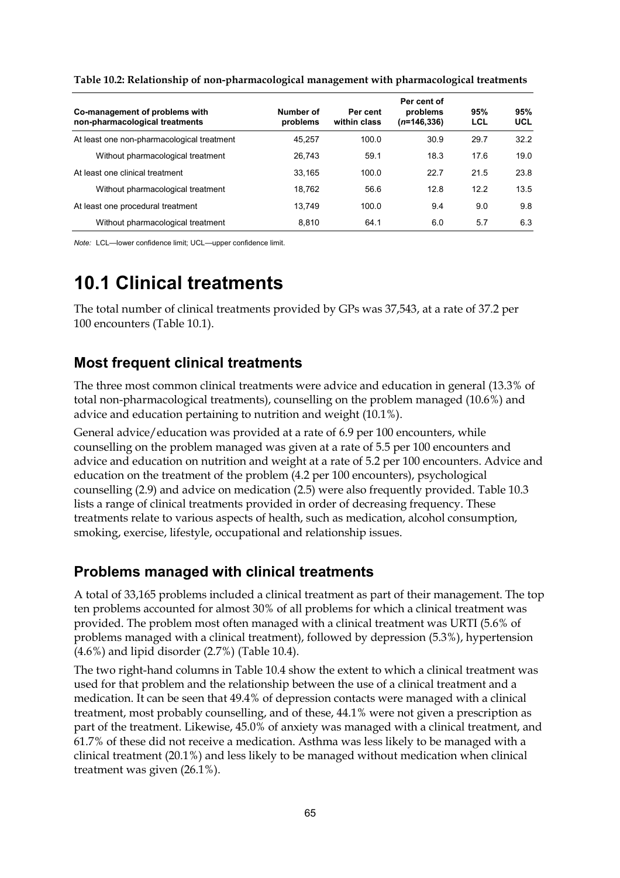| Co-management of problems with<br>non-pharmacological treatments | Number of<br>problems | Per cent<br>within class | Per cent of<br>problems<br>$(n=146,336)$ | 95%<br>LCL | 95%<br>UCL |
|------------------------------------------------------------------|-----------------------|--------------------------|------------------------------------------|------------|------------|
| At least one non-pharmacological treatment                       | 45.257                | 100.0                    | 30.9                                     | 29.7       | 32.2       |
| Without pharmacological treatment                                | 26.743                | 59.1                     | 18.3                                     | 17.6       | 19.0       |
| At least one clinical treatment                                  | 33.165                | 100.0                    | 22.7                                     | 21.5       | 23.8       |
| Without pharmacological treatment                                | 18,762                | 56.6                     | 12.8                                     | 122        | 13.5       |
| At least one procedural treatment                                | 13.749                | 100.0                    | 9.4                                      | 9.0        | 9.8        |
| Without pharmacological treatment                                | 8.810                 | 64.1                     | 6.0                                      | 5.7        | 6.3        |

**Table 10.2: Relationship of non-pharmacological management with pharmacological treatments**

*Note:* LCL—lower confidence limit; UCL—upper confidence limit.

## **10.1 Clinical treatments**

The total number of clinical treatments provided by GPs was 37,543, at a rate of 37.2 per 100 encounters (Table 10.1).

### **Most frequent clinical treatments**

The three most common clinical treatments were advice and education in general (13.3% of total non-pharmacological treatments), counselling on the problem managed (10.6%) and advice and education pertaining to nutrition and weight (10.1%).

General advice/education was provided at a rate of 6.9 per 100 encounters, while counselling on the problem managed was given at a rate of 5.5 per 100 encounters and advice and education on nutrition and weight at a rate of 5.2 per 100 encounters. Advice and education on the treatment of the problem (4.2 per 100 encounters), psychological counselling (2.9) and advice on medication (2.5) were also frequently provided. Table 10.3 lists a range of clinical treatments provided in order of decreasing frequency. These treatments relate to various aspects of health, such as medication, alcohol consumption, smoking, exercise, lifestyle, occupational and relationship issues.

### **Problems managed with clinical treatments**

A total of 33,165 problems included a clinical treatment as part of their management. The top ten problems accounted for almost 30% of all problems for which a clinical treatment was provided. The problem most often managed with a clinical treatment was URTI (5.6% of problems managed with a clinical treatment), followed by depression (5.3%), hypertension (4.6%) and lipid disorder (2.7%) (Table 10.4).

The two right-hand columns in Table 10.4 show the extent to which a clinical treatment was used for that problem and the relationship between the use of a clinical treatment and a medication. It can be seen that 49.4% of depression contacts were managed with a clinical treatment, most probably counselling, and of these, 44.1% were not given a prescription as part of the treatment. Likewise, 45.0% of anxiety was managed with a clinical treatment, and 61.7% of these did not receive a medication. Asthma was less likely to be managed with a clinical treatment (20.1%) and less likely to be managed without medication when clinical treatment was given (26.1%).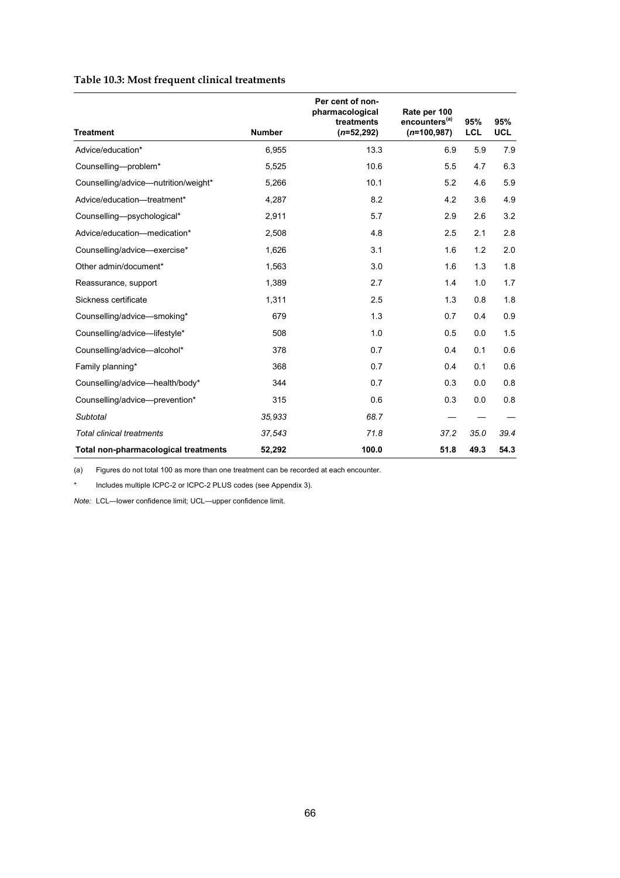### **Table 10.3: Most frequent clinical treatments**

| <b>Treatment</b>                     | <b>Number</b> | Per cent of non-<br>pharmacological<br>treatments<br>$(n=52, 292)$ | Rate per 100<br>encounters <sup>(a)</sup><br>$(n=100, 987)$ | 95%<br><b>LCL</b> | 95%<br><b>UCL</b> |
|--------------------------------------|---------------|--------------------------------------------------------------------|-------------------------------------------------------------|-------------------|-------------------|
| Advice/education*                    | 6,955         | 13.3                                                               | 6.9                                                         | 5.9               | 7.9               |
| Counselling-problem*                 | 5,525         | 10.6                                                               | 5.5                                                         | 4.7               | 6.3               |
| Counselling/advice-nutrition/weight* | 5,266         | 10.1                                                               | 5.2                                                         | 4.6               | 5.9               |
|                                      |               |                                                                    |                                                             |                   |                   |
| Advice/education-treatment*          | 4,287         | 8.2                                                                | 4.2                                                         | 3.6               | 4.9               |
| Counselling-psychological*           | 2.911         | 5.7                                                                | 2.9                                                         | 2.6               | 3.2               |
| Advice/education-medication*         | 2,508         | 4.8                                                                | 2.5                                                         | 2.1               | 2.8               |
| Counselling/advice-exercise*         | 1,626         | 3.1                                                                | 1.6                                                         | 1.2               | 2.0               |
| Other admin/document*                | 1,563         | 3.0                                                                | 1.6                                                         | 1.3               | 1.8               |
| Reassurance, support                 | 1,389         | 2.7                                                                | 1.4                                                         | 1.0               | 1.7               |
| Sickness certificate                 | 1,311         | 2.5                                                                | 1.3                                                         | 0.8               | 1.8               |
| Counselling/advice-smoking*          | 679           | 1.3                                                                | 0.7                                                         | 0.4               | 0.9               |
| Counselling/advice-lifestyle*        | 508           | 1.0                                                                | 0.5                                                         | 0.0               | 1.5               |
| Counselling/advice-alcohol*          | 378           | 0.7                                                                | 0.4                                                         | 0.1               | 0.6               |
| Family planning*                     | 368           | 0.7                                                                | 0.4                                                         | 0.1               | 0.6               |
| Counselling/advice-health/body*      | 344           | 0.7                                                                | 0.3                                                         | 0.0               | 0.8               |
| Counselling/advice-prevention*       | 315           | 0.6                                                                | 0.3                                                         | 0.0               | 0.8               |
| Subtotal                             | 35.933        | 68.7                                                               |                                                             |                   |                   |
| <b>Total clinical treatments</b>     | 37,543        | 71.8                                                               | 37.2                                                        | 35.0              | 39.4              |
| Total non-pharmacological treatments | 52,292        | 100.0                                                              | 51.8                                                        | 49.3              | 54.3              |

(a) Figures do not total 100 as more than one treatment can be recorded at each encounter.

Includes multiple ICPC-2 or ICPC-2 PLUS codes (see Appendix 3).

*Note:* LCL—lower confidence limit; UCL—upper confidence limit.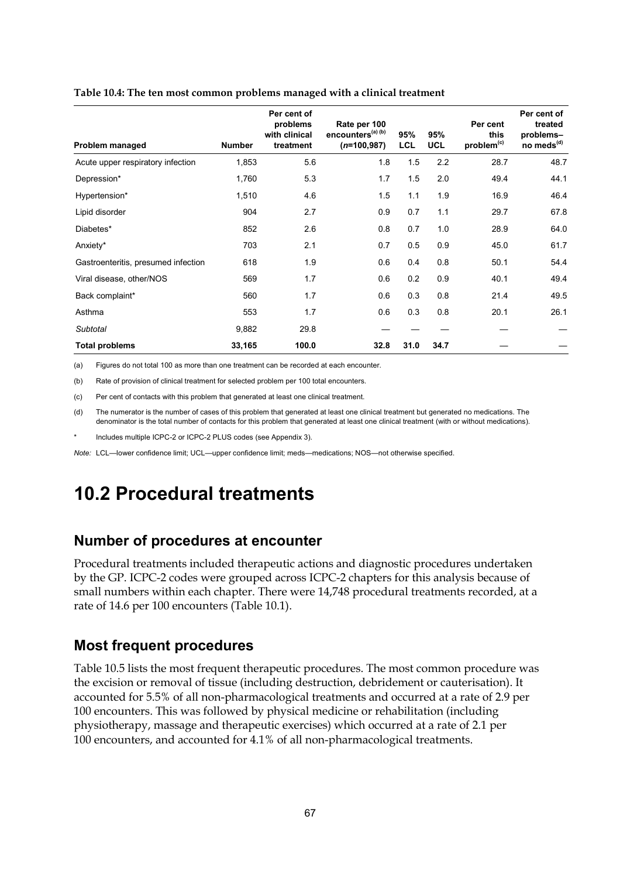| Problem managed                     | <b>Number</b> | Per cent of<br>problems<br>with clinical<br>treatment | Rate per 100<br>encounters <sup>(a) (b)</sup><br>$(n=100,987)$ | 95%<br><b>LCL</b> | 95%<br><b>UCL</b> | Per cent<br>this<br>problem <sup>(c)</sup> | Per cent of<br>treated<br>problems-<br>no meds <sup>(d)</sup> |
|-------------------------------------|---------------|-------------------------------------------------------|----------------------------------------------------------------|-------------------|-------------------|--------------------------------------------|---------------------------------------------------------------|
| Acute upper respiratory infection   | 1,853         | 5.6                                                   | 1.8                                                            | 1.5               | 2.2               | 28.7                                       | 48.7                                                          |
| Depression*                         | 1,760         | 5.3                                                   | 1.7                                                            | 1.5               | 2.0               | 49.4                                       | 44.1                                                          |
| Hypertension*                       | 1,510         | 4.6                                                   | 1.5                                                            | 1.1               | 1.9               | 16.9                                       | 46.4                                                          |
| Lipid disorder                      | 904           | 2.7                                                   | 0.9                                                            | 0.7               | 1.1               | 29.7                                       | 67.8                                                          |
| Diabetes*                           | 852           | 2.6                                                   | 0.8                                                            | 0.7               | 1.0               | 28.9                                       | 64.0                                                          |
| Anxiety*                            | 703           | 2.1                                                   | 0.7                                                            | 0.5               | 0.9               | 45.0                                       | 61.7                                                          |
| Gastroenteritis, presumed infection | 618           | 1.9                                                   | 0.6                                                            | 0.4               | 0.8               | 50.1                                       | 54.4                                                          |
| Viral disease, other/NOS            | 569           | 1.7                                                   | 0.6                                                            | 0.2               | 0.9               | 40.1                                       | 49.4                                                          |
| Back complaint*                     | 560           | 1.7                                                   | 0.6                                                            | 0.3               | 0.8               | 21.4                                       | 49.5                                                          |
| Asthma                              | 553           | 1.7                                                   | 0.6                                                            | 0.3               | 0.8               | 20.1                                       | 26.1                                                          |
| Subtotal                            | 9,882         | 29.8                                                  |                                                                |                   |                   |                                            |                                                               |
| <b>Total problems</b>               | 33,165        | 100.0                                                 | 32.8                                                           | 31.0              | 34.7              |                                            |                                                               |

#### **Table 10.4: The ten most common problems managed with a clinical treatment**

(a) Figures do not total 100 as more than one treatment can be recorded at each encounter.

(b) Rate of provision of clinical treatment for selected problem per 100 total encounters.

(c) Per cent of contacts with this problem that generated at least one clinical treatment.

(d) The numerator is the number of cases of this problem that generated at least one clinical treatment but generated no medications. The denominator is the total number of contacts for this problem that generated at least one clinical treatment (with or without medications).

Includes multiple ICPC-2 or ICPC-2 PLUS codes (see Appendix 3).

*Note:* LCL—lower confidence limit; UCL—upper confidence limit; meds—medications; NOS—not otherwise specified.

# **10.2 Procedural treatments**

### **Number of procedures at encounter**

Procedural treatments included therapeutic actions and diagnostic procedures undertaken by the GP. ICPC-2 codes were grouped across ICPC-2 chapters for this analysis because of small numbers within each chapter. There were 14,748 procedural treatments recorded, at a rate of 14.6 per 100 encounters (Table 10.1).

### **Most frequent procedures**

Table 10.5 lists the most frequent therapeutic procedures. The most common procedure was the excision or removal of tissue (including destruction, debridement or cauterisation). It accounted for 5.5% of all non-pharmacological treatments and occurred at a rate of 2.9 per 100 encounters. This was followed by physical medicine or rehabilitation (including physiotherapy, massage and therapeutic exercises) which occurred at a rate of 2.1 per 100 encounters, and accounted for 4.1% of all non-pharmacological treatments.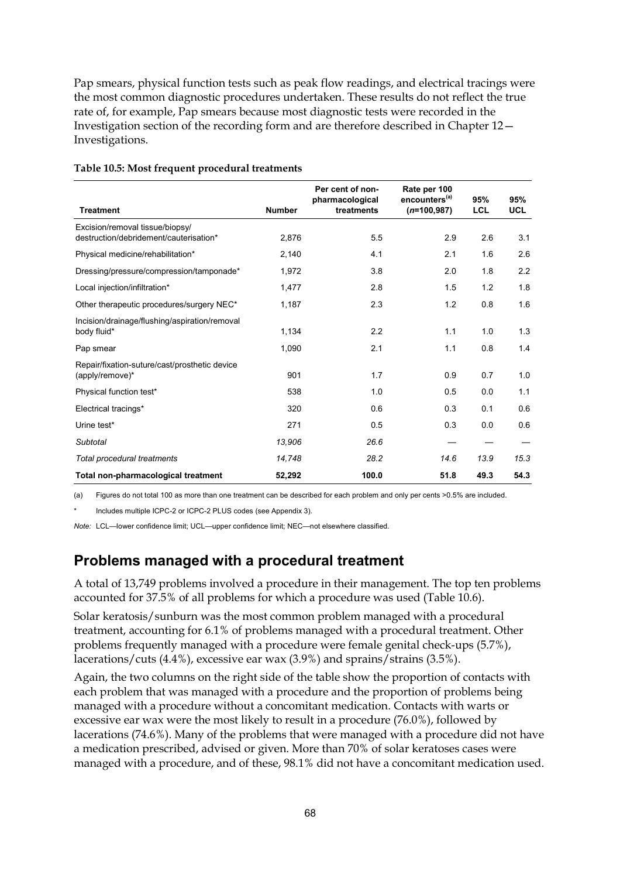Pap smears, physical function tests such as peak flow readings, and electrical tracings were the most common diagnostic procedures undertaken. These results do not reflect the true rate of, for example, Pap smears because most diagnostic tests were recorded in the Investigation section of the recording form and are therefore described in Chapter 12— Investigations.

| <b>Treatment</b>                                                          | <b>Number</b> | Per cent of non-<br>pharmacological<br>treatments | Rate per 100<br>encounters <sup>(a)</sup><br>$(n=100,987)$ | 95%<br><b>LCL</b> | 95%<br><b>UCL</b> |
|---------------------------------------------------------------------------|---------------|---------------------------------------------------|------------------------------------------------------------|-------------------|-------------------|
| Excision/removal tissue/biopsy/<br>destruction/debridement/cauterisation* | 2,876         | 5.5                                               | 2.9                                                        | 2.6               | 3.1               |
| Physical medicine/rehabilitation*                                         | 2,140         | 4.1                                               | 2.1                                                        | 1.6               | 2.6               |
| Dressing/pressure/compression/tamponade*                                  | 1,972         | 3.8                                               | 2.0                                                        | 1.8               | 2.2               |
| Local injection/infiltration*                                             | 1,477         | 2.8                                               | 1.5                                                        | 1.2               | 1.8               |
| Other therapeutic procedures/surgery NEC*                                 | 1,187         | 2.3                                               | 1.2                                                        | 0.8               | 1.6               |
| Incision/drainage/flushing/aspiration/removal<br>body fluid*              | 1,134         | 2.2                                               | 1.1                                                        | 1.0               | 1.3               |
| Pap smear                                                                 | 1,090         | 2.1                                               | 1.1                                                        | 0.8               | 1.4               |
| Repair/fixation-suture/cast/prosthetic device<br>(apply/remove)*          | 901           | 1.7                                               | 0.9                                                        | 0.7               | 1.0               |
| Physical function test*                                                   | 538           | 1.0                                               | 0.5                                                        | 0.0               | 1.1               |
| Electrical tracings*                                                      | 320           | 0.6                                               | 0.3                                                        | 0.1               | 0.6               |
| Urine test*                                                               | 271           | 0.5                                               | 0.3                                                        | 0.0               | 0.6               |
| Subtotal                                                                  | 13,906        | 26.6                                              |                                                            |                   |                   |
| Total procedural treatments                                               | 14,748        | 28.2                                              | 14.6                                                       | 13.9              | 15.3              |
| Total non-pharmacological treatment                                       | 52,292        | 100.0                                             | 51.8                                                       | 49.3              | 54.3              |

#### **Table 10.5: Most frequent procedural treatments**

(a) Figures do not total 100 as more than one treatment can be described for each problem and only per cents >0.5% are included.

Includes multiple ICPC-2 or ICPC-2 PLUS codes (see Appendix 3).

*Note:* LCL—lower confidence limit; UCL—upper confidence limit; NEC—not elsewhere classified.

### **Problems managed with a procedural treatment**

A total of 13,749 problems involved a procedure in their management. The top ten problems accounted for 37.5% of all problems for which a procedure was used (Table 10.6).

Solar keratosis/sunburn was the most common problem managed with a procedural treatment, accounting for 6.1% of problems managed with a procedural treatment. Other problems frequently managed with a procedure were female genital check-ups (5.7%), lacerations/cuts (4.4%), excessive ear wax (3.9%) and sprains/strains (3.5%).

Again, the two columns on the right side of the table show the proportion of contacts with each problem that was managed with a procedure and the proportion of problems being managed with a procedure without a concomitant medication. Contacts with warts or excessive ear wax were the most likely to result in a procedure (76.0%), followed by lacerations (74.6%). Many of the problems that were managed with a procedure did not have a medication prescribed, advised or given. More than 70% of solar keratoses cases were managed with a procedure, and of these, 98.1% did not have a concomitant medication used.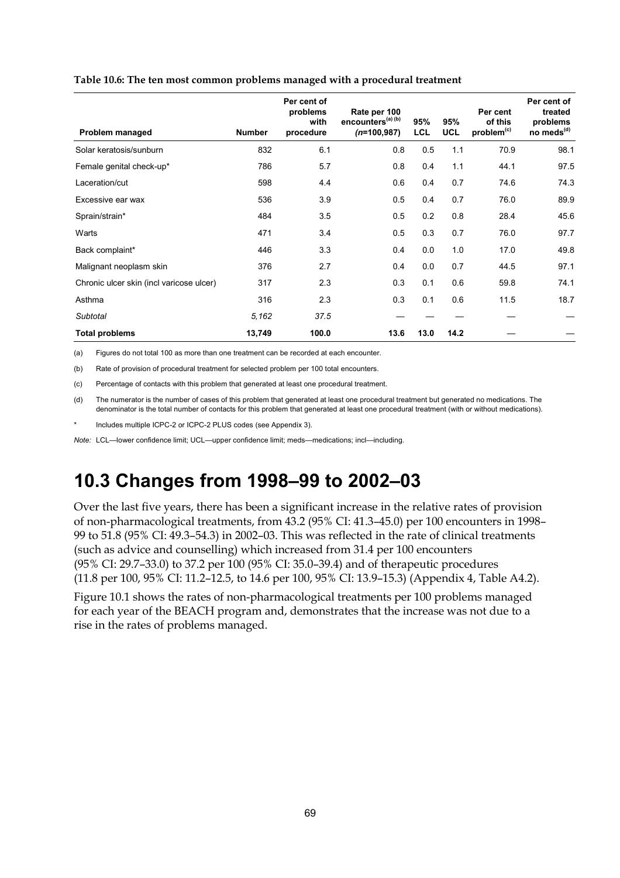| Problem managed                          | <b>Number</b> | Per cent of<br>problems<br>with<br>procedure | Rate per 100<br>encounters <sup>(a) (b)</sup><br>$(n=100, 987)$ | 95%<br><b>LCL</b> | 95%<br><b>UCL</b> | Per cent<br>of this<br>problem <sup>(c)</sup> | Per cent of<br>treated<br>problems<br>no meds <sup>(d)</sup> |
|------------------------------------------|---------------|----------------------------------------------|-----------------------------------------------------------------|-------------------|-------------------|-----------------------------------------------|--------------------------------------------------------------|
| Solar keratosis/sunburn                  | 832           | 6.1                                          | 0.8                                                             | 0.5               | 1.1               | 70.9                                          | 98.1                                                         |
| Female genital check-up*                 | 786           | 5.7                                          | 0.8                                                             | 0.4               | 1.1               | 44.1                                          | 97.5                                                         |
| Laceration/cut                           | 598           | 4.4                                          | 0.6                                                             | 0.4               | 0.7               | 74.6                                          | 74.3                                                         |
| Excessive ear wax                        | 536           | 3.9                                          | 0.5                                                             | 0.4               | 0.7               | 76.0                                          | 89.9                                                         |
| Sprain/strain*                           | 484           | 3.5                                          | 0.5                                                             | 0.2               | 0.8               | 28.4                                          | 45.6                                                         |
| Warts                                    | 471           | 3.4                                          | 0.5                                                             | 0.3               | 0.7               | 76.0                                          | 97.7                                                         |
| Back complaint*                          | 446           | 3.3                                          | 0.4                                                             | 0.0               | 1.0               | 17.0                                          | 49.8                                                         |
| Malignant neoplasm skin                  | 376           | 2.7                                          | 0.4                                                             | 0.0               | 0.7               | 44.5                                          | 97.1                                                         |
| Chronic ulcer skin (incl varicose ulcer) | 317           | 2.3                                          | 0.3                                                             | 0.1               | 0.6               | 59.8                                          | 74.1                                                         |
| Asthma                                   | 316           | 2.3                                          | 0.3                                                             | 0.1               | 0.6               | 11.5                                          | 18.7                                                         |
| Subtotal                                 | 5.162         | 37.5                                         |                                                                 |                   |                   |                                               |                                                              |
| <b>Total problems</b>                    | 13,749        | 100.0                                        | 13.6                                                            | 13.0              | 14.2              |                                               |                                                              |

#### **Table 10.6: The ten most common problems managed with a procedural treatment**

(a) Figures do not total 100 as more than one treatment can be recorded at each encounter.

(b) Rate of provision of procedural treatment for selected problem per 100 total encounters.

(c) Percentage of contacts with this problem that generated at least one procedural treatment.

(d) The numerator is the number of cases of this problem that generated at least one procedural treatment but generated no medications. The denominator is the total number of contacts for this problem that generated at least one procedural treatment (with or without medications).

Includes multiple ICPC-2 or ICPC-2 PLUS codes (see Appendix 3).

*Note:* LCL—lower confidence limit; UCL—upper confidence limit; meds—medications; incl—including.

# **10.3 Changes from 1998–99 to 2002–03**

Over the last five years, there has been a significant increase in the relative rates of provision of non-pharmacological treatments, from 43.2 (95% CI: 41.3–45.0) per 100 encounters in 1998– 99 to 51.8 (95% CI: 49.3–54.3) in 2002–03. This was reflected in the rate of clinical treatments (such as advice and counselling) which increased from 31.4 per 100 encounters (95% CI: 29.7–33.0) to 37.2 per 100 (95% CI: 35.0–39.4) and of therapeutic procedures (11.8 per 100, 95% CI: 11.2–12.5, to 14.6 per 100, 95% CI: 13.9–15.3) (Appendix 4, Table A4.2).

Figure 10.1 shows the rates of non-pharmacological treatments per 100 problems managed for each year of the BEACH program and, demonstrates that the increase was not due to a rise in the rates of problems managed.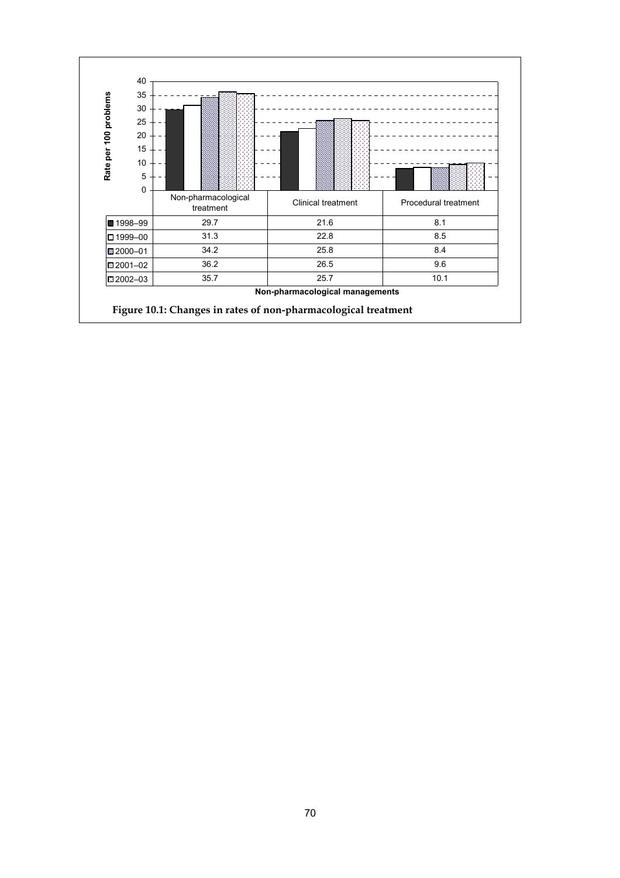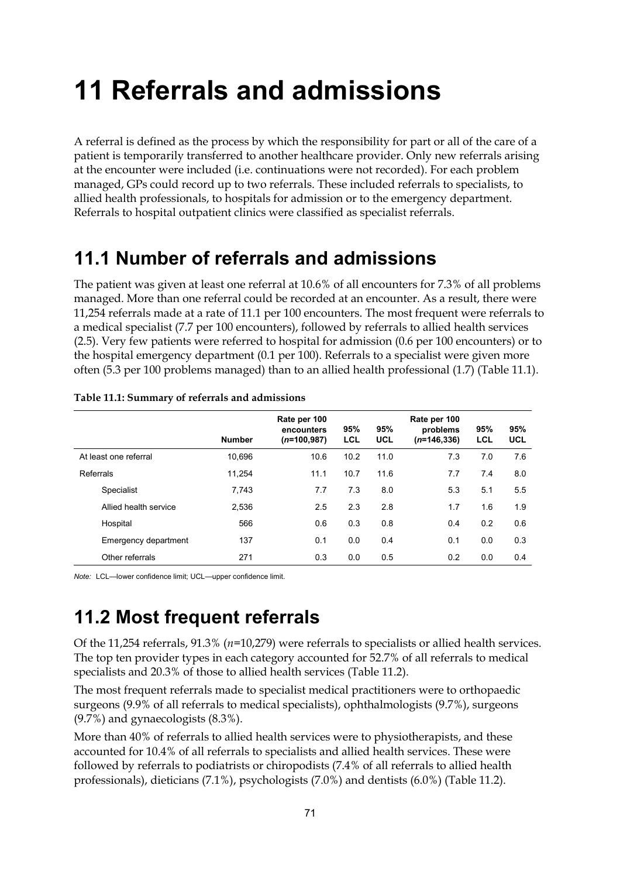# **11 Referrals and admissions**

A referral is defined as the process by which the responsibility for part or all of the care of a patient is temporarily transferred to another healthcare provider. Only new referrals arising at the encounter were included (i.e. continuations were not recorded). For each problem managed, GPs could record up to two referrals. These included referrals to specialists, to allied health professionals, to hospitals for admission or to the emergency department. Referrals to hospital outpatient clinics were classified as specialist referrals.

# **11.1 Number of referrals and admissions**

The patient was given at least one referral at 10.6% of all encounters for 7.3% of all problems managed. More than one referral could be recorded at an encounter. As a result, there were 11,254 referrals made at a rate of 11.1 per 100 encounters. The most frequent were referrals to a medical specialist (7.7 per 100 encounters), followed by referrals to allied health services (2.5). Very few patients were referred to hospital for admission (0.6 per 100 encounters) or to the hospital emergency department (0.1 per 100). Referrals to a specialist were given more often (5.3 per 100 problems managed) than to an allied health professional (1.7) (Table 11.1).

|                       | <b>Number</b> | Rate per 100<br>encounters<br>$(n=100,987)$ | 95%<br>LCL | 95%<br>UCL | Rate per 100<br>problems<br>$(n=146,336)$ | 95%<br>LCL | 95%<br>UCL |
|-----------------------|---------------|---------------------------------------------|------------|------------|-------------------------------------------|------------|------------|
| At least one referral | 10.696        | 10.6                                        | 10.2       | 11.0       | 7.3                                       | 7.0        | 7.6        |
| Referrals             | 11.254        | 11.1                                        | 10.7       | 11.6       | 7.7                                       | 7.4        | 8.0        |
| Specialist            | 7.743         | 7.7                                         | 7.3        | 8.0        | 5.3                                       | 5.1        | 5.5        |
| Allied health service | 2,536         | 2.5                                         | 2.3        | 2.8        | 1.7                                       | 1.6        | 1.9        |
| Hospital              | 566           | 0.6                                         | 0.3        | 0.8        | 0.4                                       | 0.2        | 0.6        |
| Emergency department  | 137           | 0.1                                         | 0.0        | 0.4        | 0.1                                       | 0.0        | 0.3        |
| Other referrals       | 271           | 0.3                                         | 0.0        | 0.5        | 0.2                                       | 0.0        | 0.4        |

| Table 11.1: Summary of referrals and admissions |  |  |
|-------------------------------------------------|--|--|
|                                                 |  |  |

*Note:* LCL—lower confidence limit; UCL—upper confidence limit.

# **11.2 Most frequent referrals**

Of the 11,254 referrals, 91.3% (*n*=10,279) were referrals to specialists or allied health services. The top ten provider types in each category accounted for 52.7% of all referrals to medical specialists and 20.3% of those to allied health services (Table 11.2).

The most frequent referrals made to specialist medical practitioners were to orthopaedic surgeons (9.9% of all referrals to medical specialists), ophthalmologists (9.7%), surgeons (9.7%) and gynaecologists (8.3%).

More than 40% of referrals to allied health services were to physiotherapists, and these accounted for 10.4% of all referrals to specialists and allied health services. These were followed by referrals to podiatrists or chiropodists (7.4% of all referrals to allied health professionals), dieticians (7.1%), psychologists (7.0%) and dentists (6.0%) (Table 11.2).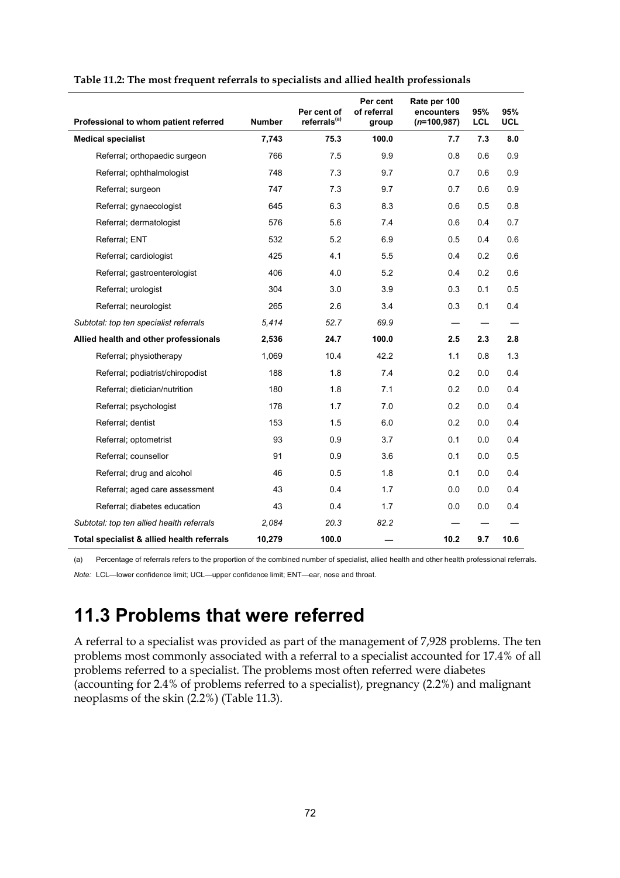| Professional to whom patient referred      | <b>Number</b> | Per cent of<br>referrals <sup>(a)</sup> | Per cent<br>of referral<br>group | Rate per 100<br>encounters<br>$(n=100,987)$ | 95%<br><b>LCL</b> | 95%<br><b>UCL</b> |
|--------------------------------------------|---------------|-----------------------------------------|----------------------------------|---------------------------------------------|-------------------|-------------------|
| <b>Medical specialist</b>                  | 7,743         | 75.3                                    | 100.0                            | 7.7                                         | 7.3               | 8.0               |
| Referral; orthopaedic surgeon              | 766           | 7.5                                     | 9.9                              | 0.8                                         | 0.6               | 0.9               |
| Referral; ophthalmologist                  | 748           | 7.3                                     | 9.7                              | 0.7                                         | 0.6               | 0.9               |
| Referral; surgeon                          | 747           | 7.3                                     | 9.7                              | 0.7                                         | 0.6               | 0.9               |
| Referral; gynaecologist                    | 645           | 6.3                                     | 8.3                              | 0.6                                         | 0.5               | 0.8               |
| Referral; dermatologist                    | 576           | 5.6                                     | 7.4                              | 0.6                                         | 0.4               | 0.7               |
| Referral; ENT                              | 532           | 5.2                                     | 6.9                              | 0.5                                         | 0.4               | 0.6               |
| Referral; cardiologist                     | 425           | 4.1                                     | 5.5                              | 0.4                                         | 0.2               | 0.6               |
| Referral; gastroenterologist               | 406           | 4.0                                     | 5.2                              | 0.4                                         | 0.2               | 0.6               |
| Referral; urologist                        | 304           | 3.0                                     | 3.9                              | 0.3                                         | 0.1               | 0.5               |
| Referral; neurologist                      | 265           | 2.6                                     | 3.4                              | 0.3                                         | 0.1               | 0.4               |
| Subtotal: top ten specialist referrals     | 5.414         | 52.7                                    | 69.9                             |                                             |                   |                   |
| Allied health and other professionals      | 2,536         | 24.7                                    | 100.0                            | 2.5                                         | 2.3               | 2.8               |
| Referral; physiotherapy                    | 1,069         | 10.4                                    | 42.2                             | 1.1                                         | 0.8               | 1.3               |
| Referral; podiatrist/chiropodist           | 188           | 1.8                                     | 7.4                              | 0.2                                         | 0.0               | 0.4               |
| Referral; dietician/nutrition              | 180           | 1.8                                     | 7.1                              | 0.2                                         | 0.0               | 0.4               |
| Referral; psychologist                     | 178           | 1.7                                     | 7.0                              | 0.2                                         | 0.0               | 0.4               |
| Referral; dentist                          | 153           | 1.5                                     | 6.0                              | 0.2                                         | 0.0               | 0.4               |
| Referral; optometrist                      | 93            | 0.9                                     | 3.7                              | 0.1                                         | 0.0               | 0.4               |
| Referral; counsellor                       | 91            | 0.9                                     | 3.6                              | 0.1                                         | 0.0               | 0.5               |
| Referral; drug and alcohol                 | 46            | 0.5                                     | 1.8                              | 0.1                                         | 0.0               | 0.4               |
| Referral; aged care assessment             | 43            | 0.4                                     | 1.7                              | 0.0                                         | 0.0               | 0.4               |
| Referral; diabetes education               | 43            | 0.4                                     | 1.7                              | 0.0                                         | 0.0               | 0.4               |
| Subtotal: top ten allied health referrals  | 2,084         | 20.3                                    | 82.2                             |                                             |                   |                   |
| Total specialist & allied health referrals | 10,279        | 100.0                                   |                                  | 10.2                                        | 9.7               | 10.6              |

**Table 11.2: The most frequent referrals to specialists and allied health professionals**

(a) Percentage of referrals refers to the proportion of the combined number of specialist, allied health and other health professional referrals.

*Note:* LCL—lower confidence limit; UCL—upper confidence limit; ENT—ear, nose and throat.

# **11.3 Problems that were referred**

A referral to a specialist was provided as part of the management of 7,928 problems. The ten problems most commonly associated with a referral to a specialist accounted for 17.4% of all problems referred to a specialist. The problems most often referred were diabetes (accounting for 2.4% of problems referred to a specialist), pregnancy (2.2%) and malignant neoplasms of the skin (2.2%) (Table 11.3).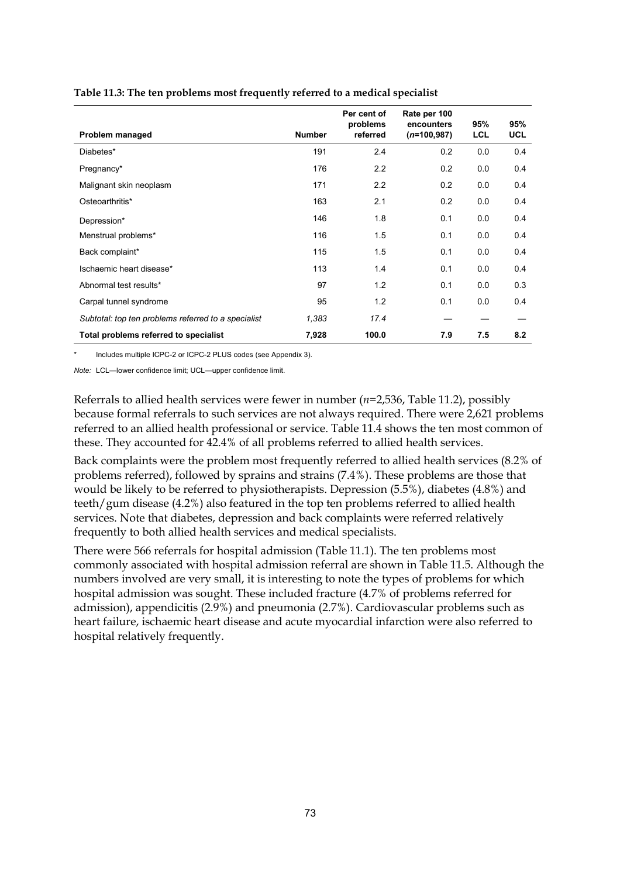|                                                     |               | Per cent of<br>problems | Rate per 100<br>encounters | 95%        | 95%        |
|-----------------------------------------------------|---------------|-------------------------|----------------------------|------------|------------|
| Problem managed                                     | <b>Number</b> | referred                | $(n=100,987)$              | <b>LCL</b> | <b>UCL</b> |
| Diabetes*                                           | 191           | 2.4                     | 0.2                        | 0.0        | 0.4        |
| Pregnancy*                                          | 176           | 2.2                     | 0.2                        | 0.0        | 0.4        |
| Malignant skin neoplasm                             | 171           | 2.2                     | 0.2                        | 0.0        | 0.4        |
| Osteoarthritis*                                     | 163           | 2.1                     | 0.2                        | 0.0        | 0.4        |
| Depression*                                         | 146           | 1.8                     | 0.1                        | 0.0        | 0.4        |
| Menstrual problems*                                 | 116           | 1.5                     | 0.1                        | 0.0        | 0.4        |
| Back complaint*                                     | 115           | 1.5                     | 0.1                        | 0.0        | 0.4        |
| Ischaemic heart disease*                            | 113           | 1.4                     | 0.1                        | 0.0        | 0.4        |
| Abnormal test results*                              | 97            | 1.2                     | 0.1                        | 0.0        | 0.3        |
| Carpal tunnel syndrome                              | 95            | 1.2                     | 0.1                        | 0.0        | 0.4        |
| Subtotal: top ten problems referred to a specialist | 1,383         | 17.4                    |                            |            |            |
| Total problems referred to specialist               | 7,928         | 100.0                   | 7.9                        | 7.5        | 8.2        |

#### **Table 11.3: The ten problems most frequently referred to a medical specialist**

Includes multiple ICPC-2 or ICPC-2 PLUS codes (see Appendix 3).

*Note:* LCL—lower confidence limit; UCL—upper confidence limit.

Referrals to allied health services were fewer in number (*n*=2,536, Table 11.2), possibly because formal referrals to such services are not always required. There were 2,621 problems referred to an allied health professional or service. Table 11.4 shows the ten most common of these. They accounted for 42.4% of all problems referred to allied health services.

Back complaints were the problem most frequently referred to allied health services (8.2% of problems referred), followed by sprains and strains (7.4%). These problems are those that would be likely to be referred to physiotherapists. Depression (5.5%), diabetes (4.8%) and teeth/gum disease (4.2%) also featured in the top ten problems referred to allied health services. Note that diabetes, depression and back complaints were referred relatively frequently to both allied health services and medical specialists.

There were 566 referrals for hospital admission (Table 11.1). The ten problems most commonly associated with hospital admission referral are shown in Table 11.5. Although the numbers involved are very small, it is interesting to note the types of problems for which hospital admission was sought. These included fracture (4.7% of problems referred for admission), appendicitis (2.9%) and pneumonia (2.7%). Cardiovascular problems such as heart failure, ischaemic heart disease and acute myocardial infarction were also referred to hospital relatively frequently.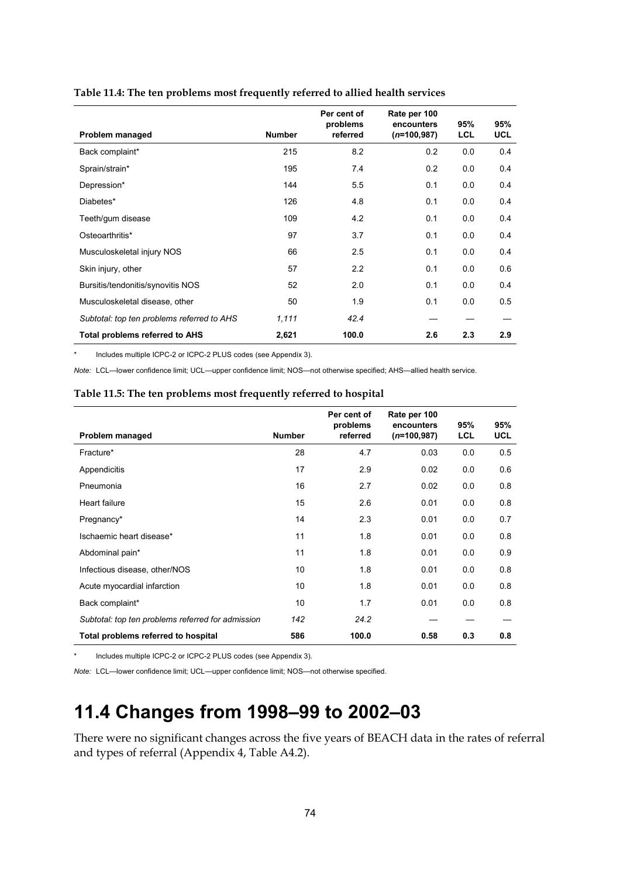|                                            |               | Per cent of<br>problems | Rate per 100<br>encounters | 95% | 95%        |
|--------------------------------------------|---------------|-------------------------|----------------------------|-----|------------|
| Problem managed                            | <b>Number</b> | referred                | $(n=100,987)$              | LCL | <b>UCL</b> |
| Back complaint*                            | 215           | 8.2                     | 0.2                        | 0.0 | 0.4        |
| Sprain/strain*                             | 195           | 7.4                     | 0.2                        | 0.0 | 0.4        |
| Depression*                                | 144           | 5.5                     | 0.1                        | 0.0 | 0.4        |
| Diabetes*                                  | 126           | 4.8                     | 0.1                        | 0.0 | 0.4        |
| Teeth/gum disease                          | 109           | 4.2                     | 0.1                        | 0.0 | 0.4        |
| Osteoarthritis*                            | 97            | 3.7                     | 0.1                        | 0.0 | 0.4        |
| Musculoskeletal injury NOS                 | 66            | 2.5                     | 0.1                        | 0.0 | 0.4        |
| Skin injury, other                         | 57            | 2.2                     | 0.1                        | 0.0 | 0.6        |
| Bursitis/tendonitis/synovitis NOS          | 52            | 2.0                     | 0.1                        | 0.0 | 0.4        |
| Musculoskeletal disease, other             | 50            | 1.9                     | 0.1                        | 0.0 | 0.5        |
| Subtotal: top ten problems referred to AHS | 1,111         | 42.4                    |                            |     |            |
| <b>Total problems referred to AHS</b>      | 2,621         | 100.0                   | 2.6                        | 2.3 | 2.9        |

#### **Table 11.4: The ten problems most frequently referred to allied health services**

Includes multiple ICPC-2 or ICPC-2 PLUS codes (see Appendix 3).

*Note:* LCL—lower confidence limit; UCL—upper confidence limit; NOS—not otherwise specified; AHS—allied health service.

#### **Table 11.5: The ten problems most frequently referred to hospital**

|                                                   |               | Per cent of<br>problems | Rate per 100<br>encounters | 95% | 95%        |
|---------------------------------------------------|---------------|-------------------------|----------------------------|-----|------------|
| Problem managed                                   | <b>Number</b> | referred                | $(n=100,987)$              | LCL | <b>UCL</b> |
| Fracture*                                         | 28            | 4.7                     | 0.03                       | 0.0 | 0.5        |
| Appendicitis                                      | 17            | 2.9                     | 0.02                       | 0.0 | 0.6        |
| Pneumonia                                         | 16            | 2.7                     | 0.02                       | 0.0 | 0.8        |
| Heart failure                                     | 15            | 2.6                     | 0.01                       | 0.0 | 0.8        |
| Pregnancy*                                        | 14            | 2.3                     | 0.01                       | 0.0 | 0.7        |
| Ischaemic heart disease*                          | 11            | 1.8                     | 0.01                       | 0.0 | 0.8        |
| Abdominal pain*                                   | 11            | 1.8                     | 0.01                       | 0.0 | 0.9        |
| Infectious disease, other/NOS                     | 10            | 1.8                     | 0.01                       | 0.0 | 0.8        |
| Acute myocardial infarction                       | 10            | 1.8                     | 0.01                       | 0.0 | 0.8        |
| Back complaint*                                   | 10            | 1.7                     | 0.01                       | 0.0 | 0.8        |
| Subtotal: top ten problems referred for admission | 142           | 24.2                    |                            |     |            |
| Total problems referred to hospital               | 586           | 100.0                   | 0.58                       | 0.3 | 0.8        |

Includes multiple ICPC-2 or ICPC-2 PLUS codes (see Appendix 3).

*Note:* LCL—lower confidence limit; UCL—upper confidence limit; NOS—not otherwise specified.

# **11.4 Changes from 1998–99 to 2002–03**

There were no significant changes across the five years of BEACH data in the rates of referral and types of referral (Appendix 4, Table A4.2).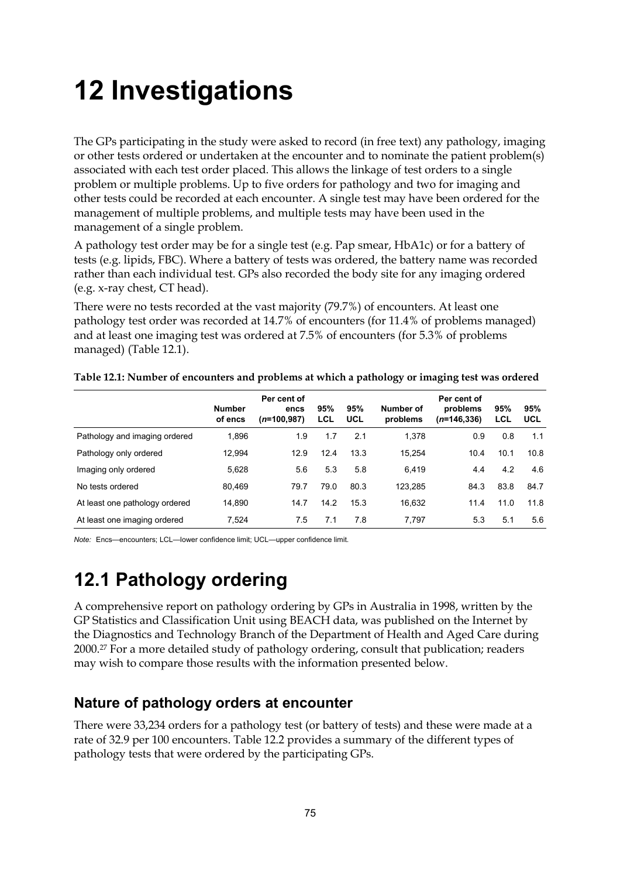# **12 Investigations**

The GPs participating in the study were asked to record (in free text) any pathology, imaging or other tests ordered or undertaken at the encounter and to nominate the patient problem(s) associated with each test order placed. This allows the linkage of test orders to a single problem or multiple problems. Up to five orders for pathology and two for imaging and other tests could be recorded at each encounter. A single test may have been ordered for the management of multiple problems, and multiple tests may have been used in the management of a single problem.

A pathology test order may be for a single test (e.g. Pap smear, HbA1c) or for a battery of tests (e.g. lipids, FBC). Where a battery of tests was ordered, the battery name was recorded rather than each individual test. GPs also recorded the body site for any imaging ordered (e.g. x-ray chest, CT head).

There were no tests recorded at the vast majority (79.7%) of encounters. At least one pathology test order was recorded at 14.7% of encounters (for 11.4% of problems managed) and at least one imaging test was ordered at 7.5% of encounters (for 5.3% of problems managed) (Table 12.1).

|                                | <b>Number</b><br>of encs | Per cent of<br>encs<br>$(n=100,987)$ | 95%<br>LCL | 95%<br>UCL | Number of<br>problems | Per cent of<br>problems<br>$(n=146,336)$ | 95%<br>LCL | 95%<br>UCL |
|--------------------------------|--------------------------|--------------------------------------|------------|------------|-----------------------|------------------------------------------|------------|------------|
| Pathology and imaging ordered  | 1,896                    | 1.9                                  | 1.7        | 2.1        | 1,378                 | 0.9                                      | 0.8        | 1.1        |
| Pathology only ordered         | 12,994                   | 12.9                                 | 12.4       | 13.3       | 15.254                | 10.4                                     | 10.1       | 10.8       |
| Imaging only ordered           | 5,628                    | 5.6                                  | 5.3        | 5.8        | 6.419                 | 4.4                                      | 4.2        | 4.6        |
| No tests ordered               | 80.469                   | 79.7                                 | 79.0       | 80.3       | 123.285               | 84.3                                     | 83.8       | 84.7       |
| At least one pathology ordered | 14,890                   | 14.7                                 | 14.2       | 15.3       | 16,632                | 11.4                                     | 11.0       | 11.8       |
| At least one imaging ordered   | 7,524                    | 7.5                                  | 7.1        | 7.8        | 7.797                 | 5.3                                      | 5.1        | 5.6        |

**Table 12.1: Number of encounters and problems at which a pathology or imaging test was ordered**

*Note:* Encs—encounters: LCL—lower confidence limit: LICL—upper confidence limit.

# **12.1 Pathology ordering**

A comprehensive report on pathology ordering by GPs in Australia in 1998, written by the GP Statistics and Classification Unit using BEACH data, was published on the Internet by the Diagnostics and Technology Branch of the Department of Health and Aged Care during 2000.27 For a more detailed study of pathology ordering, consult that publication; readers may wish to compare those results with the information presented below.

### **Nature of pathology orders at encounter**

There were 33,234 orders for a pathology test (or battery of tests) and these were made at a rate of 32.9 per 100 encounters. Table 12.2 provides a summary of the different types of pathology tests that were ordered by the participating GPs.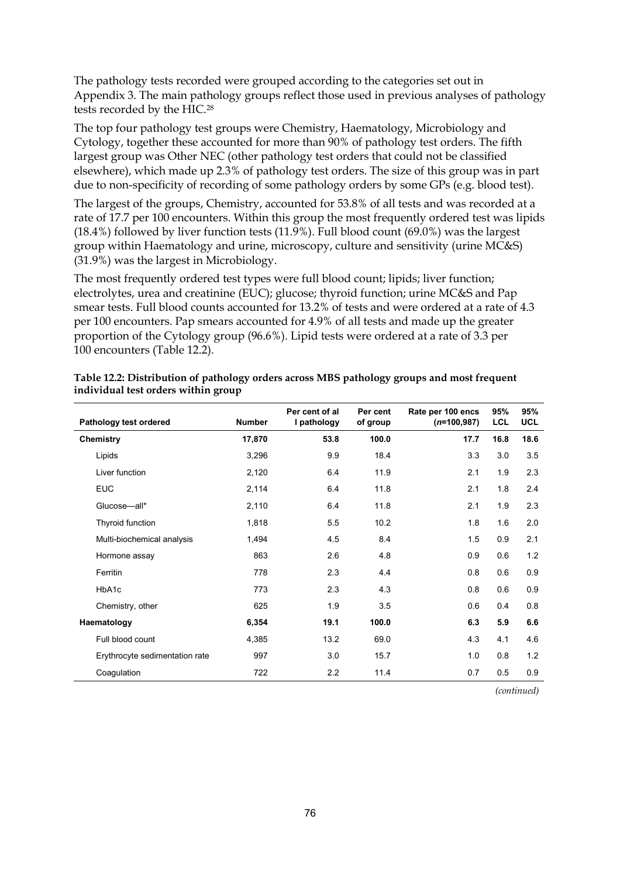The pathology tests recorded were grouped according to the categories set out in Appendix 3. The main pathology groups reflect those used in previous analyses of pathology tests recorded by the HIC.28

The top four pathology test groups were Chemistry, Haematology, Microbiology and Cytology, together these accounted for more than 90% of pathology test orders. The fifth largest group was Other NEC (other pathology test orders that could not be classified elsewhere), which made up 2.3% of pathology test orders. The size of this group was in part due to non-specificity of recording of some pathology orders by some GPs (e.g. blood test).

The largest of the groups, Chemistry, accounted for 53.8% of all tests and was recorded at a rate of 17.7 per 100 encounters. Within this group the most frequently ordered test was lipids (18.4%) followed by liver function tests (11.9%). Full blood count (69.0%) was the largest group within Haematology and urine, microscopy, culture and sensitivity (urine MC&S) (31.9%) was the largest in Microbiology.

The most frequently ordered test types were full blood count; lipids; liver function; electrolytes, urea and creatinine (EUC); glucose; thyroid function; urine MC&S and Pap smear tests. Full blood counts accounted for 13.2% of tests and were ordered at a rate of 4.3 per 100 encounters. Pap smears accounted for 4.9% of all tests and made up the greater proportion of the Cytology group (96.6%). Lipid tests were ordered at a rate of 3.3 per 100 encounters (Table 12.2).

| Pathology test ordered         | <b>Number</b> | Per cent of al<br>I pathology | Per cent<br>of group | Rate per 100 encs<br>$(n=100,987)$ | 95%<br><b>LCL</b> | 95%<br><b>UCL</b> |
|--------------------------------|---------------|-------------------------------|----------------------|------------------------------------|-------------------|-------------------|
| <b>Chemistry</b>               | 17,870        | 53.8                          | 100.0                | 17.7                               | 16.8              | 18.6              |
| Lipids                         | 3,296         | 9.9                           | 18.4                 | 3.3                                | 3.0               | 3.5               |
| Liver function                 | 2,120         | 6.4                           | 11.9                 | 2.1                                | 1.9               | 2.3               |
| <b>EUC</b>                     | 2,114         | 6.4                           | 11.8                 | 2.1                                | 1.8               | 2.4               |
| Glucose-all*                   | 2,110         | 6.4                           | 11.8                 | 2.1                                | 1.9               | 2.3               |
| Thyroid function               | 1,818         | 5.5                           | 10.2                 | 1.8                                | 1.6               | 2.0               |
| Multi-biochemical analysis     | 1,494         | 4.5                           | 8.4                  | 1.5                                | 0.9               | 2.1               |
| Hormone assay                  | 863           | 2.6                           | 4.8                  | 0.9                                | 0.6               | 1.2               |
| Ferritin                       | 778           | 2.3                           | 4.4                  | 0.8                                | 0.6               | 0.9               |
| HbA1c                          | 773           | 2.3                           | 4.3                  | 0.8                                | 0.6               | 0.9               |
| Chemistry, other               | 625           | 1.9                           | 3.5                  | 0.6                                | 0.4               | 0.8               |
| Haematology                    | 6,354         | 19.1                          | 100.0                | 6.3                                | 5.9               | 6.6               |
| Full blood count               | 4,385         | 13.2                          | 69.0                 | 4.3                                | 4.1               | 4.6               |
| Erythrocyte sedimentation rate | 997           | 3.0                           | 15.7                 | 1.0                                | 0.8               | 1.2               |
| Coagulation                    | 722           | 2.2                           | 11.4                 | 0.7                                | 0.5               | 0.9               |

| Table 12.2: Distribution of pathology orders across MBS pathology groups and most frequent |  |
|--------------------------------------------------------------------------------------------|--|
| individual test orders within group                                                        |  |

*(continued)*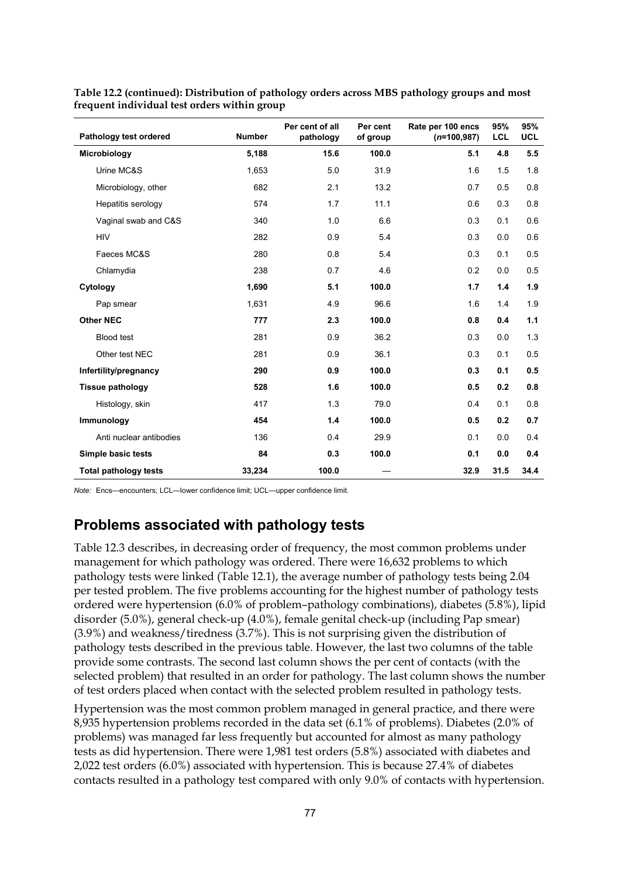| Pathology test ordered       | <b>Number</b> | Per cent of all<br>pathology | Per cent<br>of group | Rate per 100 encs<br>$(n=100,987)$ | 95%<br><b>LCL</b> | 95%<br><b>UCL</b> |
|------------------------------|---------------|------------------------------|----------------------|------------------------------------|-------------------|-------------------|
| Microbiology                 | 5,188         | 15.6                         | 100.0                | 5.1                                | 4.8               | 5.5               |
| Urine MC&S                   | 1,653         | 5.0                          | 31.9                 | 1.6                                | 1.5               | 1.8               |
| Microbiology, other          | 682           | 2.1                          | 13.2                 | 0.7                                | 0.5               | 0.8               |
| Hepatitis serology           | 574           | 1.7                          | 11.1                 | 0.6                                | 0.3               | 0.8               |
| Vaginal swab and C&S         | 340           | 1.0                          | 6.6                  | 0.3                                | 0.1               | 0.6               |
| <b>HIV</b>                   | 282           | 0.9                          | 5.4                  | 0.3                                | 0.0               | 0.6               |
| Faeces MC&S                  | 280           | 0.8                          | 5.4                  | 0.3                                | 0.1               | 0.5               |
| Chlamydia                    | 238           | 0.7                          | 4.6                  | 0.2                                | 0.0               | 0.5               |
| Cytology                     | 1,690         | 5.1                          | 100.0                | 1.7                                | 1.4               | 1.9               |
| Pap smear                    | 1,631         | 4.9                          | 96.6                 | 1.6                                | 1.4               | 1.9               |
| <b>Other NEC</b>             | 777           | 2.3                          | 100.0                | 0.8                                | 0.4               | 1.1               |
| <b>Blood test</b>            | 281           | 0.9                          | 36.2                 | 0.3                                | 0.0               | 1.3               |
| Other test NEC               | 281           | 0.9                          | 36.1                 | 0.3                                | 0.1               | 0.5               |
| Infertility/pregnancy        | 290           | 0.9                          | 100.0                | 0.3                                | 0.1               | 0.5               |
| <b>Tissue pathology</b>      | 528           | 1.6                          | 100.0                | 0.5                                | 0.2               | 0.8               |
| Histology, skin              | 417           | 1.3                          | 79.0                 | 0.4                                | 0.1               | 0.8               |
| Immunology                   | 454           | 1.4                          | 100.0                | 0.5                                | 0.2               | 0.7               |
| Anti nuclear antibodies      | 136           | 0.4                          | 29.9                 | 0.1                                | 0.0               | 0.4               |
| Simple basic tests           | 84            | 0.3                          | 100.0                | 0.1                                | 0.0               | 0.4               |
| <b>Total pathology tests</b> | 33,234        | 100.0                        |                      | 32.9                               | 31.5              | 34.4              |

**Table 12.2 (continued): Distribution of pathology orders across MBS pathology groups and most frequent individual test orders within group**

*Note:* Encs—encounters; LCL—lower confidence limit; UCL—upper confidence limit.

### **Problems associated with pathology tests**

Table 12.3 describes, in decreasing order of frequency, the most common problems under management for which pathology was ordered. There were 16,632 problems to which pathology tests were linked (Table 12.1), the average number of pathology tests being 2.04 per tested problem. The five problems accounting for the highest number of pathology tests ordered were hypertension (6.0% of problem–pathology combinations), diabetes (5.8%), lipid disorder (5.0%), general check-up (4.0%), female genital check-up (including Pap smear) (3.9%) and weakness/tiredness (3.7%). This is not surprising given the distribution of pathology tests described in the previous table. However, the last two columns of the table provide some contrasts. The second last column shows the per cent of contacts (with the selected problem) that resulted in an order for pathology. The last column shows the number of test orders placed when contact with the selected problem resulted in pathology tests.

Hypertension was the most common problem managed in general practice, and there were 8,935 hypertension problems recorded in the data set (6.1% of problems). Diabetes (2.0% of problems) was managed far less frequently but accounted for almost as many pathology tests as did hypertension. There were 1,981 test orders (5.8%) associated with diabetes and 2,022 test orders (6.0%) associated with hypertension. This is because 27.4% of diabetes contacts resulted in a pathology test compared with only 9.0% of contacts with hypertension.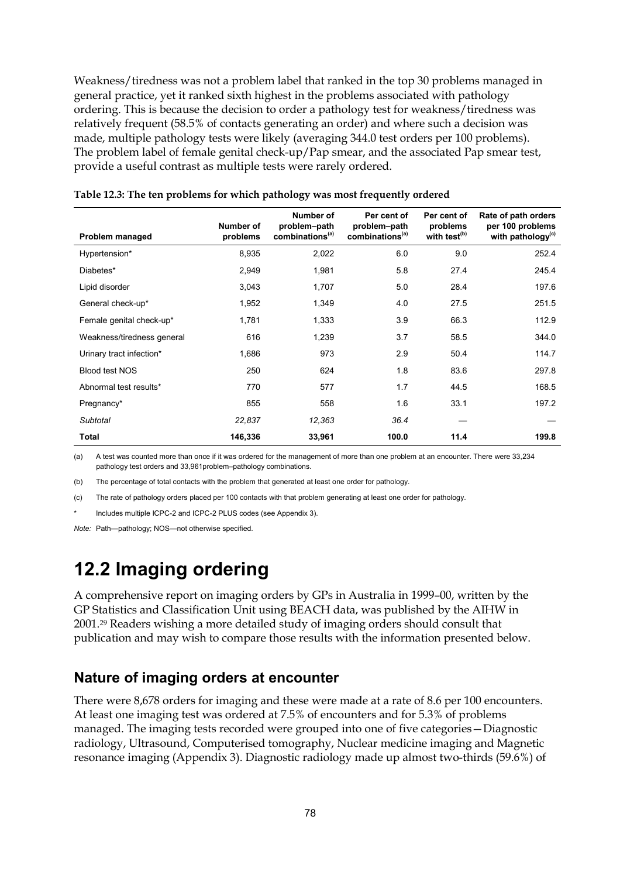Weakness/tiredness was not a problem label that ranked in the top 30 problems managed in general practice, yet it ranked sixth highest in the problems associated with pathology ordering. This is because the decision to order a pathology test for weakness/tiredness was relatively frequent (58.5% of contacts generating an order) and where such a decision was made, multiple pathology tests were likely (averaging 344.0 test orders per 100 problems). The problem label of female genital check-up/Pap smear, and the associated Pap smear test, provide a useful contrast as multiple tests were rarely ordered.

| Problem managed            | Number of<br>problems | Number of<br>problem-path<br>combinations <sup>(a)</sup> | Per cent of<br>problem-path<br>combinations <sup>(a)</sup> | Per cent of<br>problems<br>with test <sup>(b)</sup> | Rate of path orders<br>per 100 problems<br>with pathology <sup>(c)</sup> |
|----------------------------|-----------------------|----------------------------------------------------------|------------------------------------------------------------|-----------------------------------------------------|--------------------------------------------------------------------------|
| Hypertension*              | 8,935                 | 2,022                                                    | 6.0                                                        | 9.0                                                 | 252.4                                                                    |
| Diabetes*                  | 2,949                 | 1,981                                                    | 5.8                                                        | 27.4                                                | 245.4                                                                    |
| Lipid disorder             | 3,043                 | 1,707                                                    | 5.0                                                        | 28.4                                                | 197.6                                                                    |
| General check-up*          | 1,952                 | 1,349                                                    | 4.0                                                        | 27.5                                                | 251.5                                                                    |
| Female genital check-up*   | 1,781                 | 1,333                                                    | 3.9                                                        | 66.3                                                | 112.9                                                                    |
| Weakness/tiredness general | 616                   | 1,239                                                    | 3.7                                                        | 58.5                                                | 344.0                                                                    |
| Urinary tract infection*   | 1,686                 | 973                                                      | 2.9                                                        | 50.4                                                | 114.7                                                                    |
| Blood test NOS             | 250                   | 624                                                      | 1.8                                                        | 83.6                                                | 297.8                                                                    |
| Abnormal test results*     | 770                   | 577                                                      | 1.7                                                        | 44.5                                                | 168.5                                                                    |
| Pregnancy*                 | 855                   | 558                                                      | 1.6                                                        | 33.1                                                | 197.2                                                                    |
| Subtotal                   | 22,837                | 12,363                                                   | 36.4                                                       |                                                     |                                                                          |
| Total                      | 146,336               | 33,961                                                   | 100.0                                                      | 11.4                                                | 199.8                                                                    |

|  | Table 12.3: The ten problems for which pathology was most frequently ordered |  |
|--|------------------------------------------------------------------------------|--|
|  |                                                                              |  |

(a) A test was counted more than once if it was ordered for the management of more than one problem at an encounter. There were 33,234 pathology test orders and 33,961problem–pathology combinations.

(b) The percentage of total contacts with the problem that generated at least one order for pathology.

(c) The rate of pathology orders placed per 100 contacts with that problem generating at least one order for pathology.

Includes multiple ICPC-2 and ICPC-2 PLUS codes (see Appendix 3).

*Note:* Path—pathology; NOS—not otherwise specified.

# **12.2 Imaging ordering**

A comprehensive report on imaging orders by GPs in Australia in 1999–00, written by the GP Statistics and Classification Unit using BEACH data, was published by the AIHW in 2001.29 Readers wishing a more detailed study of imaging orders should consult that publication and may wish to compare those results with the information presented below.

### **Nature of imaging orders at encounter**

There were 8,678 orders for imaging and these were made at a rate of 8.6 per 100 encounters. At least one imaging test was ordered at 7.5% of encounters and for 5.3% of problems managed. The imaging tests recorded were grouped into one of five categories—Diagnostic radiology, Ultrasound, Computerised tomography, Nuclear medicine imaging and Magnetic resonance imaging (Appendix 3). Diagnostic radiology made up almost two-thirds (59.6%) of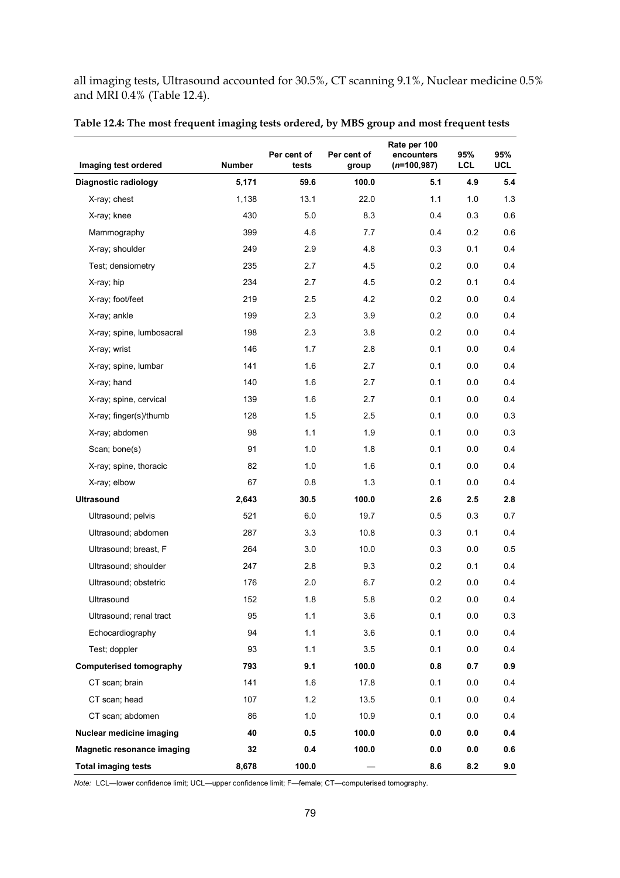all imaging tests, Ultrasound accounted for 30.5%, CT scanning 9.1%, Nuclear medicine 0.5% and MRI 0.4% (Table 12.4).

| Imaging test ordered              | <b>Number</b> | Per cent of<br>tests | Per cent of<br>group | Rate per 100<br>encounters<br>$(n=100,987)$ | 95%<br><b>LCL</b> | 95%<br><b>UCL</b> |
|-----------------------------------|---------------|----------------------|----------------------|---------------------------------------------|-------------------|-------------------|
| Diagnostic radiology              | 5,171         | 59.6                 | 100.0                | 5.1                                         | 4.9               | 5.4               |
| X-ray; chest                      | 1,138         | 13.1                 | 22.0                 | 1.1                                         | 1.0               | 1.3               |
| X-ray; knee                       | 430           | 5.0                  | 8.3                  | 0.4                                         | 0.3               | 0.6               |
| Mammography                       | 399           | 4.6                  | 7.7                  | 0.4                                         | 0.2               | 0.6               |
| X-ray; shoulder                   | 249           | 2.9                  | 4.8                  | 0.3                                         | 0.1               | 0.4               |
| Test; densiometry                 | 235           | 2.7                  | 4.5                  | 0.2                                         | 0.0               | 0.4               |
| X-ray; hip                        | 234           | 2.7                  | 4.5                  | 0.2                                         | 0.1               | 0.4               |
| X-ray; foot/feet                  | 219           | 2.5                  | 4.2                  | 0.2                                         | 0.0               | 0.4               |
| X-ray; ankle                      | 199           | 2.3                  | 3.9                  | 0.2                                         | 0.0               | 0.4               |
| X-ray; spine, lumbosacral         | 198           | 2.3                  | 3.8                  | 0.2                                         | 0.0               | 0.4               |
| X-ray; wrist                      | 146           | 1.7                  | 2.8                  | 0.1                                         | 0.0               | 0.4               |
| X-ray; spine, lumbar              | 141           | 1.6                  | 2.7                  | 0.1                                         | 0.0               | 0.4               |
| X-ray; hand                       | 140           | 1.6                  | 2.7                  | 0.1                                         | 0.0               | 0.4               |
| X-ray; spine, cervical            | 139           | 1.6                  | 2.7                  | 0.1                                         | 0.0               | 0.4               |
| X-ray; finger(s)/thumb            | 128           | 1.5                  | 2.5                  | 0.1                                         | 0.0               | 0.3               |
| X-ray; abdomen                    | 98            | 1.1                  | 1.9                  | 0.1                                         | 0.0               | 0.3               |
| Scan; bone(s)                     | 91            | 1.0                  | 1.8                  | 0.1                                         | 0.0               | 0.4               |
| X-ray; spine, thoracic            | 82            | 1.0                  | 1.6                  | 0.1                                         | 0.0               | 0.4               |
| X-ray; elbow                      | 67            | 0.8                  | 1.3                  | 0.1                                         | 0.0               | 0.4               |
| <b>Ultrasound</b>                 | 2,643         | 30.5                 | 100.0                | 2.6                                         | 2.5               | 2.8               |
| Ultrasound; pelvis                | 521           | 6.0                  | 19.7                 | 0.5                                         | 0.3               | 0.7               |
| Ultrasound; abdomen               | 287           | 3.3                  | 10.8                 | 0.3                                         | 0.1               | 0.4               |
| Ultrasound; breast, F             | 264           | 3.0                  | 10.0                 | 0.3                                         | 0.0               | 0.5               |
| Ultrasound; shoulder              | 247           | 2.8                  | 9.3                  | 0.2                                         | 0.1               | 0.4               |
| Ultrasound; obstetric             | 176           | 2.0                  | 6.7                  | 0.2                                         | 0.0               | 0.4               |
| Ultrasound                        | 152           | 1.8                  | 5.8                  | 0.2                                         | 0.0               | 0.4               |
| Ultrasound; renal tract           | 95            | 1.1                  | 3.6                  | 0.1                                         | 0.0               | 0.3               |
| Echocardiography                  | 94            | 1.1                  | 3.6                  | 0.1                                         | 0.0               | 0.4               |
| Test; doppler                     | 93            | 1.1                  | 3.5                  | 0.1                                         | 0.0               | 0.4               |
| <b>Computerised tomography</b>    | 793           | 9.1                  | 100.0                | 0.8                                         | 0.7               | 0.9               |
| CT scan; brain                    | 141           | 1.6                  | 17.8                 | 0.1                                         | 0.0               | 0.4               |
| CT scan; head                     | 107           | 1.2                  | 13.5                 | 0.1                                         | 0.0               | 0.4               |
| CT scan; abdomen                  | 86            | 1.0                  | 10.9                 | 0.1                                         | 0.0               | 0.4               |
| Nuclear medicine imaging          | 40            | 0.5                  | 100.0                | 0.0                                         | 0.0               | 0.4               |
| <b>Magnetic resonance imaging</b> | 32            | 0.4                  | 100.0                | 0.0                                         | 0.0               | 0.6               |
| <b>Total imaging tests</b>        | 8,678         | 100.0                |                      | 8.6                                         | 8.2               | 9.0               |

#### **Table 12.4: The most frequent imaging tests ordered, by MBS group and most frequent tests**

*Note:* LCL—lower confidence limit; UCL—upper confidence limit; F—female; CT—computerised tomography.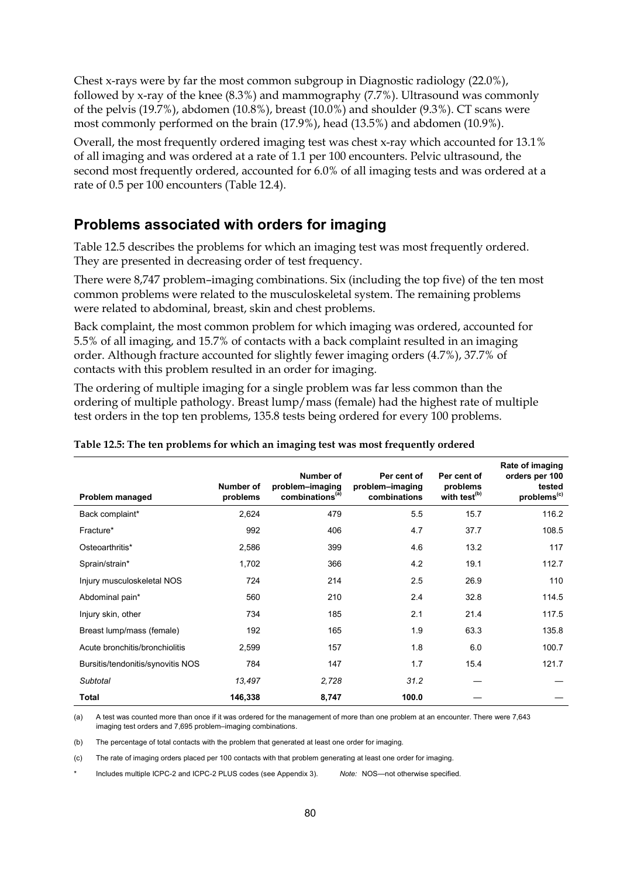Chest x-rays were by far the most common subgroup in Diagnostic radiology (22.0%), followed by x-ray of the knee (8.3%) and mammography (7.7%). Ultrasound was commonly of the pelvis (19.7%), abdomen (10.8%), breast (10.0%) and shoulder (9.3%). CT scans were most commonly performed on the brain (17.9%), head (13.5%) and abdomen (10.9%).

Overall, the most frequently ordered imaging test was chest x-ray which accounted for 13.1% of all imaging and was ordered at a rate of 1.1 per 100 encounters. Pelvic ultrasound, the second most frequently ordered, accounted for 6.0% of all imaging tests and was ordered at a rate of 0.5 per 100 encounters (Table 12.4).

### **Problems associated with orders for imaging**

Table 12.5 describes the problems for which an imaging test was most frequently ordered. They are presented in decreasing order of test frequency.

There were 8,747 problem–imaging combinations. Six (including the top five) of the ten most common problems were related to the musculoskeletal system. The remaining problems were related to abdominal, breast, skin and chest problems.

Back complaint, the most common problem for which imaging was ordered, accounted for 5.5% of all imaging, and 15.7% of contacts with a back complaint resulted in an imaging order. Although fracture accounted for slightly fewer imaging orders (4.7%), 37.7% of contacts with this problem resulted in an order for imaging.

The ordering of multiple imaging for a single problem was far less common than the ordering of multiple pathology. Breast lump/mass (female) had the highest rate of multiple test orders in the top ten problems, 135.8 tests being ordered for every 100 problems.

| Problem managed                   | Number of<br>problems | Number of<br>problem-imaging<br>combinations <sup>(a)</sup> | Per cent of<br>problem-imaging<br>combinations | Per cent of<br>problems<br>with test <sup>(b)</sup> | Rate of imaging<br>orders per 100<br>tested<br>problems <sup>(c)</sup> |
|-----------------------------------|-----------------------|-------------------------------------------------------------|------------------------------------------------|-----------------------------------------------------|------------------------------------------------------------------------|
| Back complaint*                   | 2,624                 | 479                                                         | 5.5                                            | 15.7                                                | 116.2                                                                  |
| Fracture*                         | 992                   | 406                                                         | 4.7                                            | 37.7                                                | 108.5                                                                  |
| Osteoarthritis*                   | 2,586                 | 399                                                         | 4.6                                            | 13.2                                                | 117                                                                    |
| Sprain/strain*                    | 1,702                 | 366                                                         | 4.2                                            | 19.1                                                | 112.7                                                                  |
| Injury musculoskeletal NOS        | 724                   | 214                                                         | 2.5                                            | 26.9                                                | 110                                                                    |
| Abdominal pain*                   | 560                   | 210                                                         | 2.4                                            | 32.8                                                | 114.5                                                                  |
| Injury skin, other                | 734                   | 185                                                         | 2.1                                            | 21.4                                                | 117.5                                                                  |
| Breast lump/mass (female)         | 192                   | 165                                                         | 1.9                                            | 63.3                                                | 135.8                                                                  |
| Acute bronchitis/bronchiolitis    | 2,599                 | 157                                                         | 1.8                                            | 6.0                                                 | 100.7                                                                  |
| Bursitis/tendonitis/synovitis NOS | 784                   | 147                                                         | 1.7                                            | 15.4                                                | 121.7                                                                  |
| Subtotal                          | 13,497                | 2,728                                                       | 31.2                                           |                                                     |                                                                        |
| <b>Total</b>                      | 146,338               | 8,747                                                       | 100.0                                          |                                                     |                                                                        |

#### **Table 12.5: The ten problems for which an imaging test was most frequently ordered**

(a) A test was counted more than once if it was ordered for the management of more than one problem at an encounter. There were 7,643 imaging test orders and 7,695 problem–imaging combinations.

(b) The percentage of total contacts with the problem that generated at least one order for imaging.

(c) The rate of imaging orders placed per 100 contacts with that problem generating at least one order for imaging.

\* Includes multiple ICPC-2 and ICPC-2 PLUS codes (see Appendix 3). *Note:* NOS—not otherwise specified.